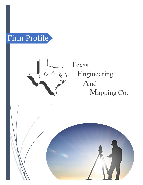



Texas Engineering And Mapping Co.

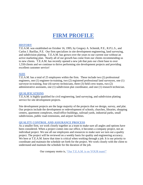# **FIRM PROFILE**

#### **HISTORY**

T.E.A.M. was established on October 16, 1995, by Gregory A. Schmidt, P.E., R.P.L.S., and Carlos J. Barillas, P.E. Our firm specializes in site development engineering, land surveying, and subdivision platting. T.E.A.M. has grown over the years to our current size without an active marketing plan. Nearly all of our growth has come from our clients recommending us to new clients. T.E.A.M. has recently opened a new job that puts our client base to over 1,550 clients and we continue to thrive performing site development projects and providing excellent customer service!

#### **SIZE**

T.E.A.M. has a total of 25 employees within the firm. These include two (2) professional engineers, one (1) engineer-in-training, two (2) registered professional land surveyors, one (1) surveyor-in-training, four (4) survey technicians, three (3) field crew teams, two (2) administrative assistants, one (1) subdivision plat coordinator, and one (1) research technician.

#### **QUALIFICATIONS**

T.E.A.M. is highly qualified for civil engineering, land surveying, and subdivision platting service for site development projects.

Site development projects are the large majority of the projects that we design, survey, and plat. Our projects include the development or redevelopment of schools, churches, libraries, shopping centers, apartment complexes, retail/office buildings, railroad yards, industrial parks, small subdivisions, public road extensions, and airport facilities.

## **QUALITY CONTROL AND ASSURANCE PROCESS**

As a smaller firm, we work closely together as a team to make sure all angles and options have been considered. When a project comes into our office, it becomes a company project, not an individual project. We use all our employees and resources to make sure we turn out a quality project. The project will be reviewed on a weekly basis for quality and engineering accuracy. We here at T.E.A.M. know that time is critical when working through a job. It is our priority to coordinate and maintain the schedule set forth for the project. We work closely with the client to understand and maintain the schedule for the duration of the job.

Our company motto is, "Our T.E.A.M. is on YOUR team!"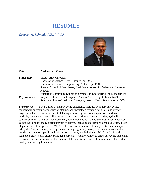## **RESUMES**

*Gregory A. Schmidt, P.E., R.P.L.S.* 



*Title:* President and Owner *Education:* Texas A&M University Bachelor of Science - Civil Engineering, 1982 Bachelor of Science - Engineering Technology, 1981 Spencer School of Real Estate; Real Estate courses for Salesman License and renewal Numerous Continuing Education Seminars in Engineering and Management *Registrations:* Registered Professional Engineer, State of Texas Registration # 67293 Registered Professional Land Surveyor, State of Texas Registration # 4355

*Experience:* Mr. Schmidt's land surveying experience includes boundary surveying, topographic surveying, construction staking, and specialty surveying for public and private projects such as Texas Department of Transportation right-of-way acquisition, subdivisions, landfills, site development, utility location and construction, drainage facilities, hydraulic studies, as-builts, partitions, railroads, etc., both urban and rural. Mr. Schmidt's experience was gained working for many different types of clients, including universities, school districts, Texas Department of Transportation, METRO, Port of Houston, cities, drainage districts, municipal utility districts, architects, developers, consulting engineers, banks, churches, title companies, builders, contractors, public and private corporations, and individuals. Mr. Schmidt is both a registered professional engineer and land surveyor. He knows how to direct surveying personnel to acquire the best information for the project design. Good quality design projects start with a quality land survey foundation.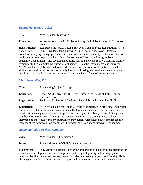## *Brian Nesvadba*, *R.P.L.S.*

**Title:** Vice President-Surveying

**Education:** Wharton County Junior College- Survey Technician Course, S.I.T. Course, 1999

**Registrations:** Registered Professional Land Surveyor, State of Texas Registration # 5776 *Experience:* Mr. Nesvadba's land surveying experience includes over 20 years of

boundary surveying, topographic surveying, construction staking, and specialty surveying for public and private projects such as, Texas Department of Transportation right-of-way acquisition, subdivisions, site development, utility location and construction, drainage facilities, hydraulic studies, as-builts, partitions, establishing GPS control monuments, and many more. Mr. Nesvadba is highly qualified to provide the surveying services of this job. He handles similar site development surveys on a daily basis coordinating with engineers, architects, and developers to provide the necessary survey data for the basis of a good project design.

## *Chad Nesvadba, P.E.*

| <b>Title:</b>        | <b>Engineering Project Manager</b>                                                     |
|----------------------|----------------------------------------------------------------------------------------|
| <b>Education:</b>    | Texas A&M University, B.S. Civil Engineering, Class of 1997, College<br>Station, Texas |
| <b>Registration:</b> | Registered Professional Engineer, State of Texas Registration #91092                   |

**Experience:** Mr. Nesvadba has more than 21 years of experience in providing engineering services for both municipal and private clients. He has been responsible for the design and construction management of numerous public works projects involving paving, drainage, water supply/distribution/master planning, and wastewater collection/treatment/master planning. Mr. Nesvadba attends county and city functions to stay current with future developments. He is a member of the American Society of Civil Engineers and is a City of Needville councilman.

## *Scotty Schmidt, Project Manager*

**Title:** Vice President – Engineering

*Duties:* Project Manager of Civil Engineering services

*Experience:* Mr. Schmidt is responsible for the preparation of plans and specifications for commercial development and the management and design of grading and drainage plans, detention facilities, water and sanitary sewer facilities, and paving projects, and drafting, He is also responsible for obtaining necessary approvals from the city, county, and state agencies.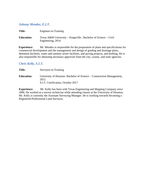## *Johnny Mendez, E.I.T.*

**Title:** Engineer-in-Training

**Education:** Texas A&M University – Kingsville, Bachelor of Science – Civil Engineering, 2014

**Experience:** Mr. Mendez is responsible for the preparation of plans and specifications for commercial development and the management and design of grading and drainage plans, detention facilities, water and sanitary sewer facilities, and paving projects, and drafting, He is also responsible for obtaining necessary approvals from the city, county, and state agencies.

## *C Chris Kelly, S.I.T.*

| <b>Title:</b>     | Surveyor-in-Training                                                                                               |
|-------------------|--------------------------------------------------------------------------------------------------------------------|
| <b>Education:</b> | University of Houston-Bachelor of Science – Construction Management,<br>2012<br>S.I.T. Certification, October 2017 |

**Experience:** Mr. Kelly has been with Texas Engineering and Mapping Company since 2006. He worked as a survey technician while attending classes at the University of Houston. Mr. Kelly is currently the Assistant Surveying Manager. He is working towards becoming a Registered Professional Land Surveyor.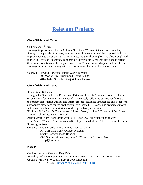# **Relevant Projects**

## **1. City of Richmond, Texas**

#### Calhoun and  $7<sup>th</sup>$  Street

Drainage improvements for the Calhoun Street and 7<sup>th</sup> Street intersection. Boundary Survey of the parcels of property was conducted in the vicinity of the proposed drainage improvements to the street right-of-way lines, and the adjoining lots and blocks as platted in the Old Town of Richmond. Topographic Survey of the area was also done to reflect the current conditions of the project area. T.E.A.M. also provided a plan and profile for Drainage Improvements along with the Storm Water Pollution Prevention Plan.

| Contact: Howard Christian, Public Works Director |                                        |  |
|--------------------------------------------------|----------------------------------------|--|
| 600 Morton Street Richmond, Texas 77469          |                                        |  |
|                                                  | 281-232-0559 hchristian@richmondtx.gov |  |

#### **2. City of Richmond, Texas**

#### Front Street Extension

Topographic Survey for the Front Street Extension Project-Cross sections were obtained on every 100-foot intervals, or as needed to accurately reflect the current conditions of the project site. Visible utilities and improvements (including landscaping and trees) with appropriate elevations for the civil design were located. T.E.A.M. also prepared surveys with metes-and-bound descriptions for the right-of-way expansion.

FM Loop 762 – from 300' southwest of Austin Street, north to 200' north of Fort Street. The full right-of -way was surveyed.

Austin Street- from Front Street west to FM Loop 762 (full width right-of-way); Front Street- Wheaton Street to Austin Street (plus an additional 50 feet west of the Front Street right-of-way;

*Contact*: Mr. Bernard J. Murphy, P.E., Transportation Mr. Cliff Park, Senior Project Manager Lippke Cartwright and Roberts 7322 Southwest Freeway, Suite 1717 Houston, Texas 77074 cliffp@lcrus.com

#### **3. Katy ISD**

#### Outdoor Learning Center at Katy ISD

 Boundary and Topographic Surveys for the 34.562 Acres Outdoor Learning Center *Contact:* Mr. Ryan Wotipka, Katy ISD Construction

281-237-6316 RyanCWotipka@KATYISD.ORG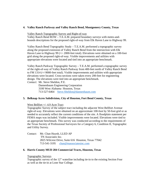#### **4. Valley Ranch Parkway and Valley Ranch Bend, Montgomery County, Texas**

Valley Ranch Topographic Survey and Right-of-way

Valley Ranch Bend ROW – T.E.A.M. prepared boundary surveys with metes-andbounds descriptions for the proposed right-of-way from Elk Haven Lane to Highway 99.

Valley Ranch Bend Topographic Study – T.E.A.M. performed a topographic survey along the proposed extension of Valley Ranch Bend from the intersection with Elk Haven Lane to Highway 99 (+/- 2000-feet total). Elevations were obtained on a 100-foot grid along the proposed right-of-way. Visible improvements and utilities with appropriate elevations were located and tied into an appropriate benchmark.

Valley Ranch Parkway Topographic Survey – T.E.A.M. performed a topographic survey of the right-of-way of Valley Ranch Parkway from 400-feet north of Valley Ranch Bend to FM 1314 (+/-9000-feet total). Visible improvements and utilities with appropriate elevations were located. Cross-sections were taken every 200-feet for engineering design. The elevations were tied into an appropriate benchmark.

*Contact:* Mr. Steve Sheldon, P.E.

 Dannenbaum Engineering Corporation 3100 West Alabama Houston, Texas 713-527-6464 [Steve.Sheldon@dannenbaum.com](mailto:Steve.Sheldon@dannenbaum.com)

## **5. Belknap Acres Subdivision, City of Houston, Fort Bend County, Texas**

West Bellfort +/- 4.9 Acre Tract

Topographic Survey of the subject tract including the adjacent West Bellfort Avenue right-of-way. Elevations were obtained on an approximate 100-foot by 50-foot grid or as needed to accurately reflect the current conditions of the site. A floodplain statement per FEMA maps was included. Visible improvements were located. Elevations were tied to an appropriate benchmark. This survey was conducted according to the requirements of the Texas Society of Professional Surveyors for a Category 6, Condition II, Topographic and Utility Survey.

Contact*:* Mr. Chan Huynh, LLED AP TN Associates Inc. 2825 Wilcrest Drive, Suite 616 Houston, Texas 77042 713-541-3195 [chan@tnassociatesinc.com](mailto:chan@tnassociatesinc.com)

#### **6. Harris County MUD 284 Commercial Tracts, Houston, Texas**

#### Topographic Surveys

Topographic survey of the 12" waterline including tie-in to the existing Section Four as well as the tie-in at Lone Star College.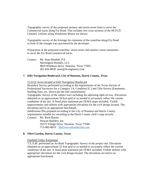Topographic survey of the proposed sanitary and storm sewer lines to serve the Commercial tracts along Fry Road. This includes two cross sections of the HCFCD Channel. Utilities along Windstone Manor are shown.

Topographic survey of the frontage for extension of the waterline along Fry Road in front of the triangle tract purchased by the developer.

Preparation of the proposed waterline, storm sewer and sanitary sewer easements to serve the Fry Road commercial tracts.

*Contact*: Mr. Sean Humble, P.E. Sherrington-Humble, LLC 9829 Whithorn Drive Houston, Texas 77095 281-656-8839 sean@sh-engineers.com

#### **7. 6501 Navigation Boulevard, City of Houston, Harris County, Texas**

21.6152 Acres located at 6501 Navigation Boulevard

Boundary Survey performed according to the requirements of the Texas Society of Professional Surveyors for a Category 1A, Condition II, Land Title Survey (Easements, building lines, etc. shown per the title commitment)

Topographic Survey of the subject tract including the adjoining right-of-way. Elevations obtained on an approximate 50-foot grid or as needed to accurately reflect the current conditions of the site. A flood plain statement per FEMA maps included. Visible improvements and utilities with appropriate elevations for the civil design located. The elevations tied to an appropriate benchmark.

Subdivision Plat prepared according to the City of Houston and Harris County requirements suitable for recording in the Harris County clerk's map records.

*Contact:* Mr. Brett Barnes Stewart Builders, Inc. 16575 Village Drive Houston, Texas 77040 713-983-8819 [bb@stewartbuildersltd.com](mailto:bb@stewartbuildersltd.com)

#### **8. Olive Garden, Harris County, Texas**

Fairfield Utility Extensions

T.E.A.M. performed an As-Built Topographic Survey of the project site. Elevations obtained on an approximate 25-foot grid or as needed to accurately reflect the current conditions of the site. A flood plain statement per FEMA included. Visible utilities with appropriate elevations for the civil design located. The elevations are tied to an appropriate benchmark.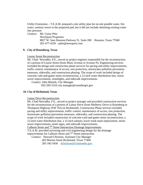Utility Extensions – T.E.A.M. prepared a site utility plan for on-site potable water, fire water, sanitary sewer to the proposed pad, but it did not include obtaining existing water line pressure.

*Contact:* Mr. Corey Pitts

 NewQuest Properties 8827 W. Sam Houston Parkway N., Suite 200 Houston, Texas 77040 281-477-4339 cpitts@newquest.com

#### **9. City of Rosenberg, Texas**

#### Louise Street Reconstruction

Mr. Chad Nesvadba, P.E., served as project engineer responsible for the reconstruction of a portion of Louise Street (from Mons Avenue to Avenue N). Engineering services included the design and construction phase services for paving and utility improvements, traffic control, maintenance of access, tree protection, stormwater pollution prevention measures, sidewalks, and construction phasing. The scope of work included design of concrete curb-and-gutter street reconstruction, a 12-inch water distribution line, storm sewer improvements, streetlights, and sidewalk improvements.

*Contact:* John Maresh, City Manager

832-595-3310 city.manager@rosenbergtx.gov

#### **10. City of Richmond, Texas**

Lamar Drive Reconstruction

Mr. Chad Nesvadba, P.E., served as project manager and provided construction services for the reconstruction of a portion of Lamar Drive (from Mulberry Drive in Rosenberg to Thompson Highway (FM 762) on Richmond). Construction Phase services included paving and utility improvements, traffic control, maintenance of access, tree protection, stormwater pollution prevention measures, sidewalks, and construction phasing. The scope of work included construction of concrete-curb-and gutter street reconstruction, a 12-inch water distribution line, a 15-inch sanitary sewer trunk main replacement, storm sewer improvements, street signs, and sidewalk improvements.

Calhoun Street and 7<sup>th</sup> Street Intersection Drainage Improvements T.E.A.M. provided surveying and civil engineering design for the drainage improvements for Calhoun Street and 7<sup>th</sup> Street intersection.

*Contact:* Howard Christian, Assistant City Manager 402 Morton Street Richmond, Texas 77469 281-342-5456 [hchristian@richmondtx.gov.](mailto:hchristian@richmondtx.gov)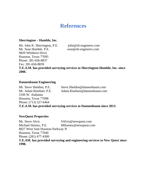## **References**

## **Sherrington – Humble, Inc.**

Mr. John K. Sherrington, P.E. john@sh-engineers.com Mr. Sean Humble. P.E. sean@sh-engineers.com 9829 Whithorn Drive Houston, Texas 77095 Phone: 281-656-8837 Fax: 281-656-8839

**T.E.A.M. has provided surveying services to Sherrington-Humble, Inc. since 2000.**

## **Dannenbaum Engineering**

Mr. Steve Sheldon, P.E. Steve.Sheldon@dannenbaum.com Mr. Adam Rinehart, P.E. Adam.Rinehart@dannenbaum.com 3100 W. Alabama Houston, Texas 77098 Phone: (713) 527-6464 **T.E.A.M. has provided surveying services to Dannenbaum since 2013.**

## **NewQuest Properties**

Mr. Steve Alvis SAlvis @newquest.com Michael Harney, P.E. MHarney@newquest.com 8827 West Sam Houston Parkway N Houston, Texas 77040 Phone: (281) 477-4300 **T.E.AM. has provided surveying and engineering services to New Quest since 1998.**